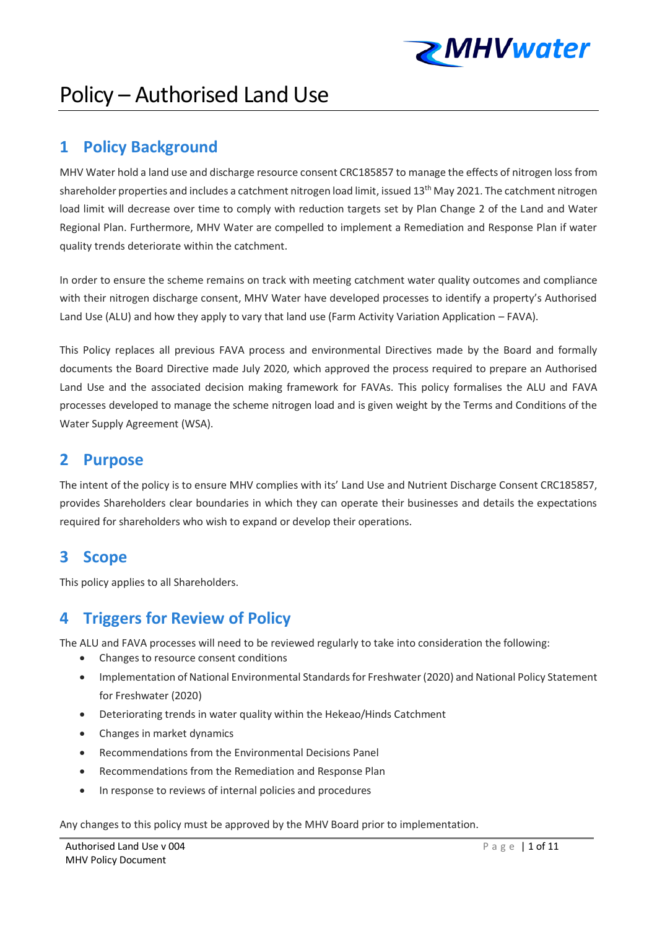

# Policy – Authorised Land Use

# **1 Policy Background**

MHV Water hold a land use and discharge resource consent CRC185857 to manage the effects of nitrogen loss from shareholder properties and includes a catchment nitrogen load limit, issued 13<sup>th</sup> May 2021. The catchment nitrogen load limit will decrease over time to comply with reduction targets set by Plan Change 2 of the Land and Water Regional Plan. Furthermore, MHV Water are compelled to implement a Remediation and Response Plan if water quality trends deteriorate within the catchment.

In order to ensure the scheme remains on track with meeting catchment water quality outcomes and compliance with their nitrogen discharge consent, MHV Water have developed processes to identify a property's Authorised Land Use (ALU) and how they apply to vary that land use (Farm Activity Variation Application – FAVA).

This Policy replaces all previous FAVA process and environmental Directives made by the Board and formally documents the Board Directive made July 2020, which approved the process required to prepare an Authorised Land Use and the associated decision making framework for FAVAs. This policy formalises the ALU and FAVA processes developed to manage the scheme nitrogen load and is given weight by the Terms and Conditions of the Water Supply Agreement (WSA).

### **2 Purpose**

The intent of the policy is to ensure MHV complies with its' Land Use and Nutrient Discharge Consent CRC185857, provides Shareholders clear boundaries in which they can operate their businesses and details the expectations required for shareholders who wish to expand or develop their operations.

## **3 Scope**

This policy applies to all Shareholders.

# **4 Triggers for Review of Policy**

The ALU and FAVA processes will need to be reviewed regularly to take into consideration the following:

- Changes to resource consent conditions
- Implementation of National Environmental Standards for Freshwater (2020) and National Policy Statement for Freshwater (2020)
- Deteriorating trends in water quality within the Hekeao/Hinds Catchment
- Changes in market dynamics
- Recommendations from the Environmental Decisions Panel
- Recommendations from the Remediation and Response Plan
- In response to reviews of internal policies and procedures

Any changes to this policy must be approved by the MHV Board prior to implementation.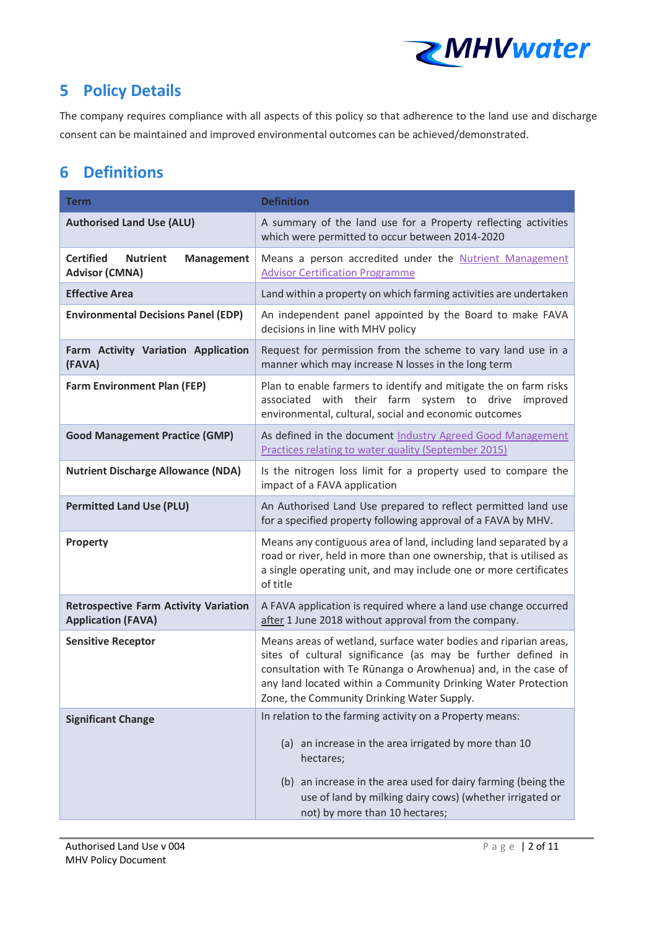

# **5 Policy Details**

The company requires compliance with all aspects of this policy so that adherence to the land use and discharge consent can be maintained and improved environmental outcomes can be achieved/demonstrated.

# **6 Definitions**

| <b>Term</b>                                                                       | <b>Definition</b>                                                                                                                                                                                                                                                                                                |  |
|-----------------------------------------------------------------------------------|------------------------------------------------------------------------------------------------------------------------------------------------------------------------------------------------------------------------------------------------------------------------------------------------------------------|--|
| <b>Authorised Land Use (ALU)</b>                                                  | A summary of the land use for a Property reflecting activities<br>which were permitted to occur between 2014-2020                                                                                                                                                                                                |  |
| <b>Certified</b><br><b>Nutrient</b><br><b>Management</b><br><b>Advisor (CMNA)</b> | Means a person accredited under the Nutrient Management<br><b>Advisor Certification Programme</b>                                                                                                                                                                                                                |  |
| <b>Effective Area</b>                                                             | Land within a property on which farming activities are undertaken                                                                                                                                                                                                                                                |  |
| <b>Environmental Decisions Panel (EDP)</b>                                        | An independent panel appointed by the Board to make FAVA<br>decisions in line with MHV policy                                                                                                                                                                                                                    |  |
| Farm Activity Variation Application<br>(FAVA)                                     | Request for permission from the scheme to vary land use in a<br>manner which may increase N losses in the long term                                                                                                                                                                                              |  |
| <b>Farm Environment Plan (FEP)</b>                                                | Plan to enable farmers to identify and mitigate the on farm risks<br>associated with their farm system to drive improved<br>environmental, cultural, social and economic outcomes                                                                                                                                |  |
| <b>Good Management Practice (GMP)</b>                                             | As defined in the document Industry Agreed Good Management<br>Practices relating to water quality (September 2015)                                                                                                                                                                                               |  |
| <b>Nutrient Discharge Allowance (NDA)</b>                                         | Is the nitrogen loss limit for a property used to compare the<br>impact of a FAVA application                                                                                                                                                                                                                    |  |
| <b>Permitted Land Use (PLU)</b>                                                   | An Authorised Land Use prepared to reflect permitted land use<br>for a specified property following approval of a FAVA by MHV.                                                                                                                                                                                   |  |
| Property                                                                          | Means any contiguous area of land, including land separated by a<br>road or river, held in more than one ownership, that is utilised as<br>a single operating unit, and may include one or more certificates<br>of title                                                                                         |  |
| <b>Retrospective Farm Activity Variation</b><br><b>Application (FAVA)</b>         | A FAVA application is required where a land use change occurred<br>after 1 June 2018 without approval from the company.                                                                                                                                                                                          |  |
| <b>Sensitive Receptor</b>                                                         | Means areas of wetland, surface water bodies and riparian areas,<br>sites of cultural significance (as may be further defined in<br>consultation with Te Rūnanga o Arowhenua) and, in the case of<br>any land located within a Community Drinking Water Protection<br>Zone, the Community Drinking Water Supply. |  |
| <b>Significant Change</b>                                                         | In relation to the farming activity on a Property means:                                                                                                                                                                                                                                                         |  |
|                                                                                   | (a) an increase in the area irrigated by more than 10<br>hectares;                                                                                                                                                                                                                                               |  |
|                                                                                   | (b) an increase in the area used for dairy farming (being the<br>use of land by milking dairy cows) (whether irrigated or<br>not) by more than 10 hectares;                                                                                                                                                      |  |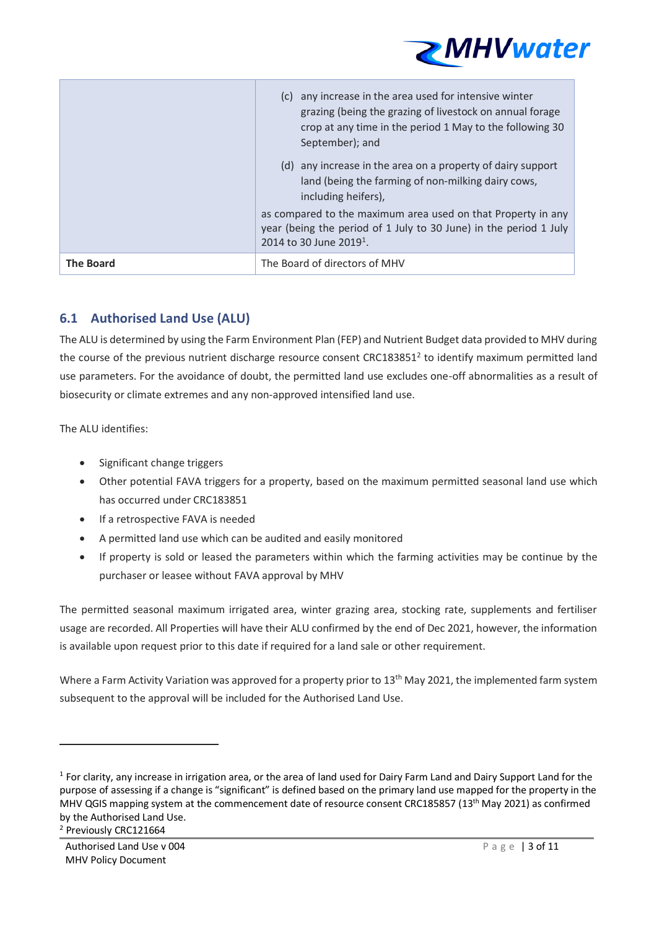

|                  | (c) any increase in the area used for intensive winter<br>grazing (being the grazing of livestock on annual forage<br>crop at any time in the period 1 May to the following 30<br>September); and |
|------------------|---------------------------------------------------------------------------------------------------------------------------------------------------------------------------------------------------|
|                  | (d) any increase in the area on a property of dairy support<br>land (being the farming of non-milking dairy cows,<br>including heifers),                                                          |
|                  | as compared to the maximum area used on that Property in any<br>year (being the period of 1 July to 30 June) in the period 1 July<br>2014 to 30 June 2019 <sup>1</sup> .                          |
| <b>The Board</b> | The Board of directors of MHV                                                                                                                                                                     |

### **6.1 Authorised Land Use (ALU)**

The ALU is determined by using the Farm Environment Plan (FEP) and Nutrient Budget data provided to MHV during the course of the previous nutrient discharge resource consent CRC183851<sup>2</sup> to identify maximum permitted land use parameters. For the avoidance of doubt, the permitted land use excludes one-off abnormalities as a result of biosecurity or climate extremes and any non-approved intensified land use.

The ALU identifies:

- Significant change triggers
- Other potential FAVA triggers for a property, based on the maximum permitted seasonal land use which has occurred under CRC183851
- If a retrospective FAVA is needed
- A permitted land use which can be audited and easily monitored
- If property is sold or leased the parameters within which the farming activities may be continue by the purchaser or leasee without FAVA approval by MHV

The permitted seasonal maximum irrigated area, winter grazing area, stocking rate, supplements and fertiliser usage are recorded. All Properties will have their ALU confirmed by the end of Dec 2021, however, the information is available upon request prior to this date if required for a land sale or other requirement.

Where a Farm Activity Variation was approved for a property prior to 13<sup>th</sup> May 2021, the implemented farm system subsequent to the approval will be included for the Authorised Land Use.

<sup>&</sup>lt;sup>1</sup> For clarity, any increase in irrigation area, or the area of land used for Dairy Farm Land and Dairy Support Land for the purpose of assessing if a change is "significant" is defined based on the primary land use mapped for the property in the MHV QGIS mapping system at the commencement date of resource consent CRC185857 (13<sup>th</sup> May 2021) as confirmed by the Authorised Land Use. <sup>2</sup> Previously CRC121664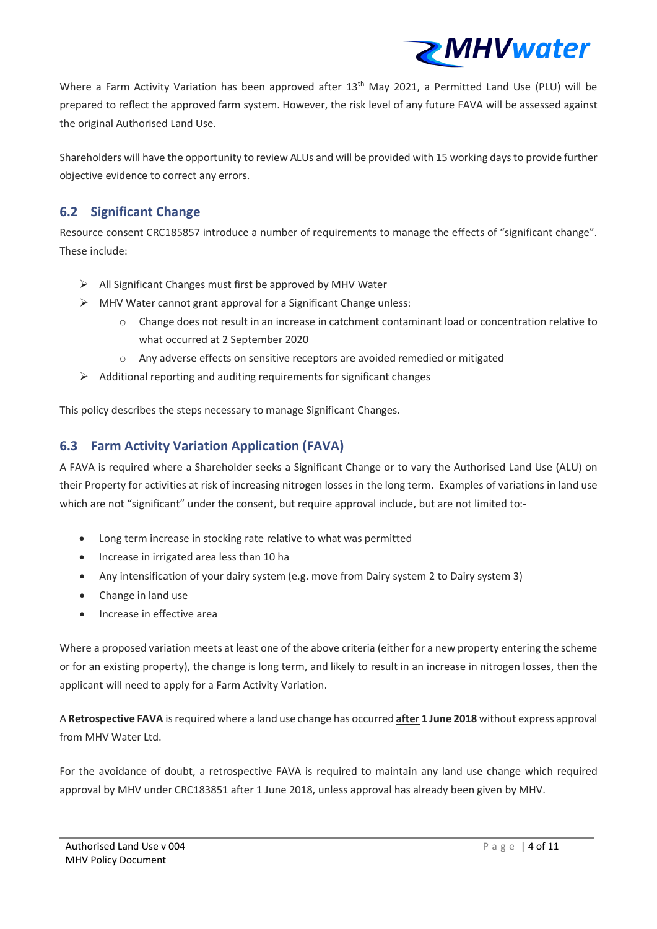

Where a Farm Activity Variation has been approved after 13<sup>th</sup> May 2021, a Permitted Land Use (PLU) will be prepared to reflect the approved farm system. However, the risk level of any future FAVA will be assessed against the original Authorised Land Use.

Shareholders will have the opportunity to review ALUs and will be provided with 15 working days to provide further objective evidence to correct any errors.

### **6.2 Significant Change**

Resource consent CRC185857 introduce a number of requirements to manage the effects of "significant change". These include:

- $\triangleright$  All Significant Changes must first be approved by MHV Water
- $\triangleright$  MHV Water cannot grant approval for a Significant Change unless:
	- o Change does not result in an increase in catchment contaminant load or concentration relative to what occurred at 2 September 2020
	- o Any adverse effects on sensitive receptors are avoided remedied or mitigated
- $\triangleright$  Additional reporting and auditing requirements for significant changes

This policy describes the steps necessary to manage Significant Changes.

### **6.3 Farm Activity Variation Application (FAVA)**

A FAVA is required where a Shareholder seeks a Significant Change or to vary the Authorised Land Use (ALU) on their Property for activities at risk of increasing nitrogen losses in the long term. Examples of variations in land use which are not "significant" under the consent, but require approval include, but are not limited to:-

- Long term increase in stocking rate relative to what was permitted
- Increase in irrigated area less than 10 ha
- Any intensification of your dairy system (e.g. move from Dairy system 2 to Dairy system 3)
- Change in land use
- Increase in effective area

Where a proposed variation meets at least one of the above criteria (either for a new property entering the scheme or for an existing property), the change is long term, and likely to result in an increase in nitrogen losses, then the applicant will need to apply for a Farm Activity Variation.

A **Retrospective FAVA** is required where a land use change has occurred **after 1 June 2018** without express approval from MHV Water Itd.

For the avoidance of doubt, a retrospective FAVA is required to maintain any land use change which required approval by MHV under CRC183851 after 1 June 2018, unless approval has already been given by MHV.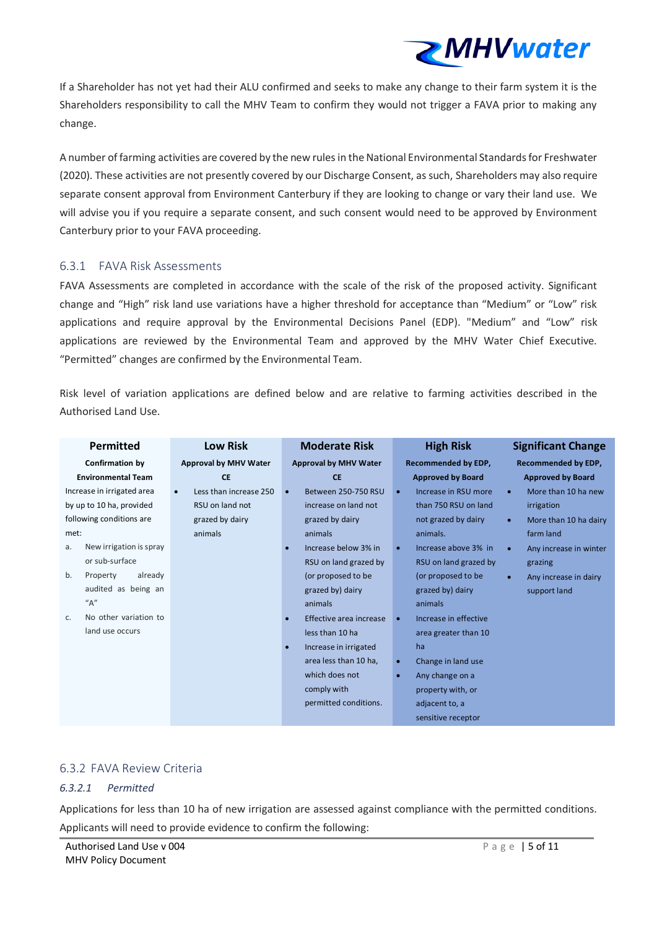

If a Shareholder has not yet had their ALU confirmed and seeks to make any change to their farm system it is the Shareholders responsibility to call the MHV Team to confirm they would not trigger a FAVA prior to making any change.

A number of farming activities are covered by the new rules in the National Environmental Standards for Freshwater (2020). These activities are not presently covered by our Discharge Consent, as such, Shareholders may also require separate consent approval from Environment Canterbury if they are looking to change or vary their land use. We will advise you if you require a separate consent, and such consent would need to be approved by Environment Canterbury prior to your FAVA proceeding.

#### 6.3.1 FAVA Risk Assessments

FAVA Assessments are completed in accordance with the scale of the risk of the proposed activity. Significant change and "High" risk land use variations have a higher threshold for acceptance than "Medium" or "Low" risk applications and require approval by the Environmental Decisions Panel (EDP). "Medium" and "Low" risk applications are reviewed by the Environmental Team and approved by the MHV Water Chief Executive. "Permitted" changes are confirmed by the Environmental Team.

Risk level of variation applications are defined below and are relative to farming activities described in the Authorised Land Use.

| <b>Permitted</b>              | <b>Low Risk</b>                     | <b>Moderate Risk</b>         | <b>High Risk</b>                  | <b>Significant Change</b>           |  |
|-------------------------------|-------------------------------------|------------------------------|-----------------------------------|-------------------------------------|--|
| <b>Confirmation by</b>        | <b>Approval by MHV Water</b>        | <b>Approval by MHV Water</b> | <b>Recommended by EDP,</b>        | <b>Recommended by EDP,</b>          |  |
| <b>Environmental Team</b>     | <b>CE</b>                           | <b>CE</b>                    | <b>Approved by Board</b>          | <b>Approved by Board</b>            |  |
| Increase in irrigated area    | Less than increase 250<br>$\bullet$ | Between 250-750 RSU          | Increase in RSU more<br>$\bullet$ | More than 10 ha new<br>$\bullet$    |  |
| by up to 10 ha, provided      | RSU on land not                     | increase on land not         | than 750 RSU on land              | irrigation                          |  |
| following conditions are      | grazed by dairy                     | grazed by dairy              | not grazed by dairy               | More than 10 ha dairy<br>$\bullet$  |  |
| met:                          | animals                             | animals                      | animals.                          | farm land                           |  |
| New irrigation is spray<br>а. |                                     | Increase below 3% in         | Increase above 3% in<br>$\bullet$ | Any increase in winter<br>$\bullet$ |  |
| or sub-surface                |                                     | RSU on land grazed by        | RSU on land grazed by             | grazing                             |  |
| Property<br>already<br>b.     |                                     | (or proposed to be           | (or proposed to be                | Any increase in dairy<br>$\bullet$  |  |
| audited as being an           |                                     | grazed by) dairy             | grazed by) dairy                  | support land                        |  |
| "A"                           |                                     | animals                      | animals                           |                                     |  |
| No other variation to<br>C.   |                                     | Effective area increase      | Increase in effective             |                                     |  |
| land use occurs               |                                     | less than 10 ha              | area greater than 10              |                                     |  |
|                               |                                     | Increase in irrigated        | ha                                |                                     |  |
|                               |                                     | area less than 10 ha,        | Change in land use<br>$\bullet$   |                                     |  |
|                               |                                     | which does not               | Any change on a<br>$\bullet$      |                                     |  |
|                               |                                     | comply with                  | property with, or                 |                                     |  |
|                               |                                     | permitted conditions.        | adjacent to, a                    |                                     |  |
|                               |                                     |                              | sensitive receptor                |                                     |  |

#### 6.3.2 FAVA Review Criteria

#### *6.3.2.1 Permitted*

Applications for less than 10 ha of new irrigation are assessed against compliance with the permitted conditions. Applicants will need to provide evidence to confirm the following: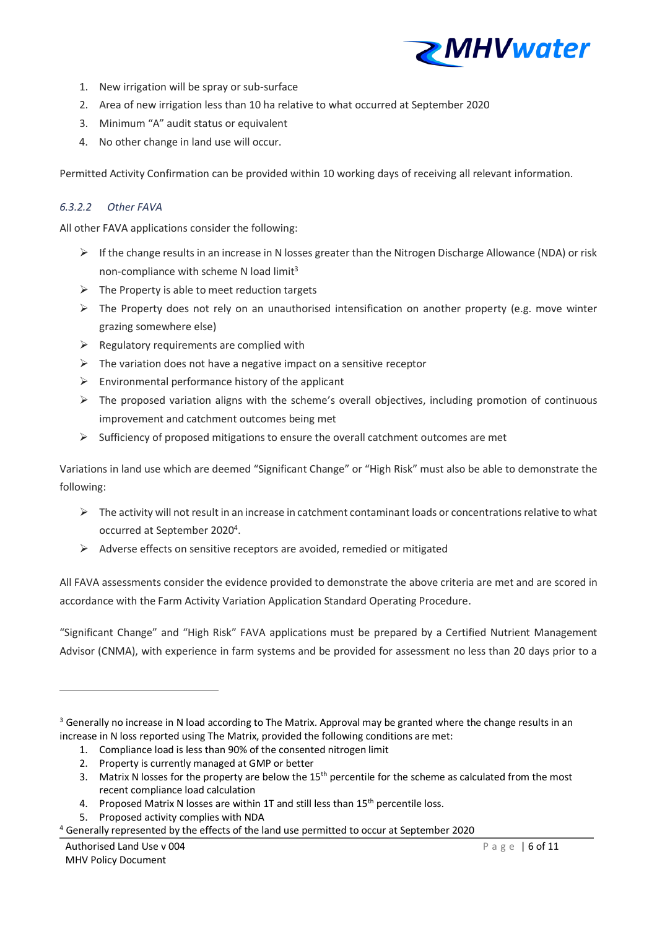

- 1. New irrigation will be spray or sub-surface
- 2. Area of new irrigation less than 10 ha relative to what occurred at September 2020
- 3. Minimum "A" audit status or equivalent
- 4. No other change in land use will occur.

Permitted Activity Confirmation can be provided within 10 working days of receiving all relevant information.

#### *6.3.2.2 Other FAVA*

All other FAVA applications consider the following:

- $\triangleright$  If the change results in an increase in N losses greater than the Nitrogen Discharge Allowance (NDA) or risk non-compliance with scheme N load limit<sup>3</sup>
- $\triangleright$  The Property is able to meet reduction targets
- $\triangleright$  The Property does not rely on an unauthorised intensification on another property (e.g. move winter grazing somewhere else)
- $\triangleright$  Regulatory requirements are complied with
- $\triangleright$  The variation does not have a negative impact on a sensitive receptor
- $\triangleright$  Environmental performance history of the applicant
- $\triangleright$  The proposed variation aligns with the scheme's overall objectives, including promotion of continuous improvement and catchment outcomes being met
- $\triangleright$  Sufficiency of proposed mitigations to ensure the overall catchment outcomes are met

Variations in land use which are deemed "Significant Change" or "High Risk" must also be able to demonstrate the following:

- ➢ The activity will not result in an increase in catchment contaminant loads or concentrations relative to what occurred at September 2020<sup>4</sup>.
- ➢ Adverse effects on sensitive receptors are avoided, remedied or mitigated

All FAVA assessments consider the evidence provided to demonstrate the above criteria are met and are scored in accordance with the Farm Activity Variation Application Standard Operating Procedure.

"Significant Change" and "High Risk" FAVA applications must be prepared by a Certified Nutrient Management Advisor (CNMA), with experience in farm systems and be provided for assessment no less than 20 days prior to a

- 1. Compliance load is less than 90% of the consented nitrogen limit
- 2. Property is currently managed at GMP or better
- 3. Matrix N losses for the property are below the  $15<sup>th</sup>$  percentile for the scheme as calculated from the most recent compliance load calculation
- 4. Proposed Matrix N losses are within 1T and still less than 15<sup>th</sup> percentile loss.
- 5. Proposed activity complies with NDA
- $4$  Generally represented by the effects of the land use permitted to occur at September 2020

<sup>&</sup>lt;sup>3</sup> Generally no increase in N load according to The Matrix. Approval may be granted where the change results in an increase in N loss reported using The Matrix, provided the following conditions are met: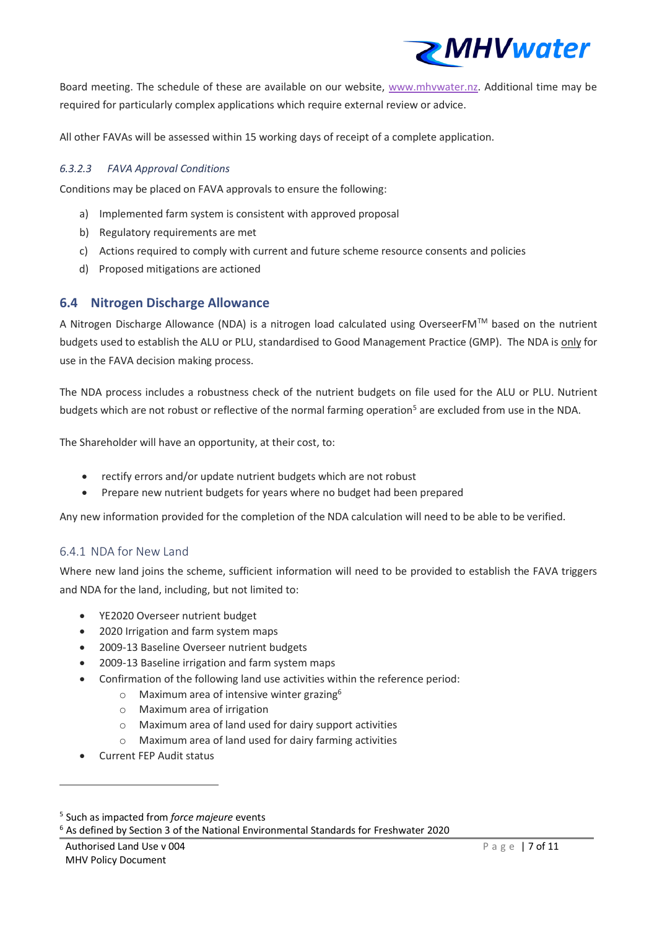

Board meeting. The schedule of these are available on our website, [www.mhvwater.nz.](http://www.mhvwater.nz/) Additional time may be required for particularly complex applications which require external review or advice.

All other FAVAs will be assessed within 15 working days of receipt of a complete application.

#### *6.3.2.3 FAVA Approval Conditions*

Conditions may be placed on FAVA approvals to ensure the following:

- a) Implemented farm system is consistent with approved proposal
- b) Regulatory requirements are met
- c) Actions required to comply with current and future scheme resource consents and policies
- d) Proposed mitigations are actioned

#### **6.4 Nitrogen Discharge Allowance**

A Nitrogen Discharge Allowance (NDA) is a nitrogen load calculated using OverseerFMTM based on the nutrient budgets used to establish the ALU or PLU, standardised to Good Management Practice (GMP). The NDA is only for use in the FAVA decision making process.

The NDA process includes a robustness check of the nutrient budgets on file used for the ALU or PLU. Nutrient budgets which are not robust or reflective of the normal farming operation<sup>5</sup> are excluded from use in the NDA.

The Shareholder will have an opportunity, at their cost, to:

- rectify errors and/or update nutrient budgets which are not robust
- Prepare new nutrient budgets for years where no budget had been prepared

Any new information provided for the completion of the NDA calculation will need to be able to be verified.

#### 6.4.1 NDA for New Land

Where new land joins the scheme, sufficient information will need to be provided to establish the FAVA triggers and NDA for the land, including, but not limited to:

- YE2020 Overseer nutrient budget
- 2020 Irrigation and farm system maps
- 2009-13 Baseline Overseer nutrient budgets
- 2009-13 Baseline irrigation and farm system maps
- Confirmation of the following land use activities within the reference period:
	- $\circ$  Maximum area of intensive winter grazing<sup>6</sup>
	- o Maximum area of irrigation
	- o Maximum area of land used for dairy support activities
	- o Maximum area of land used for dairy farming activities
- Current FEP Audit status

<sup>6</sup> As defined by Section 3 of the National Environmental Standards for Freshwater 2020

<sup>5</sup> Such as impacted from *force majeure* events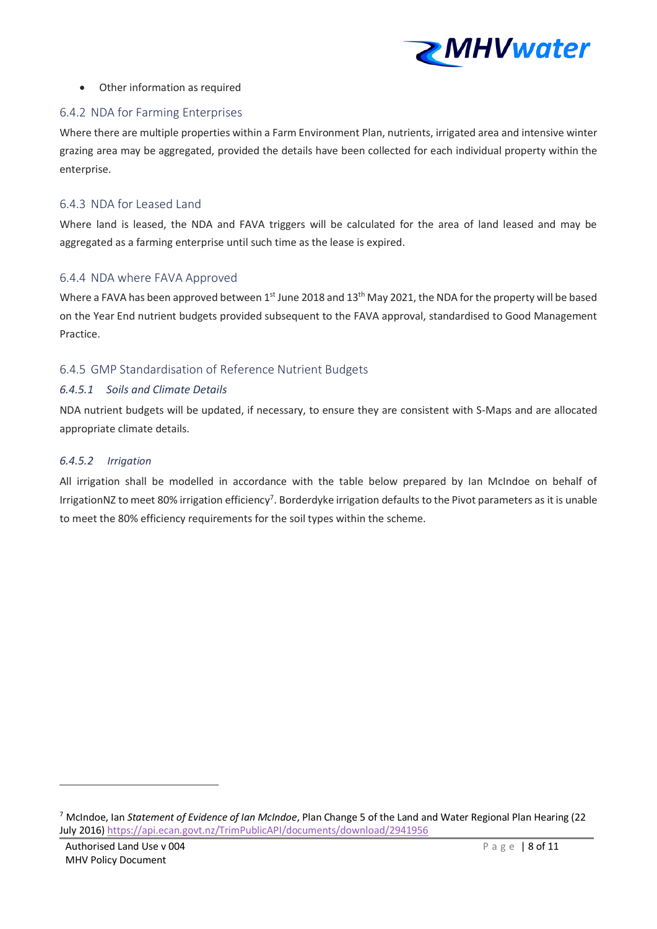

#### • Other information as required

#### 6.4.2 NDA for Farming Enterprises

Where there are multiple properties within a Farm Environment Plan, nutrients, irrigated area and intensive winter grazing area may be aggregated, provided the details have been collected for each individual property within the enterprise.

#### 6.4.3 NDA for Leased Land

Where land is leased, the NDA and FAVA triggers will be calculated for the area of land leased and may be aggregated as a farming enterprise until such time as the lease is expired.

#### 6.4.4 NDA where FAVA Approved

Where a FAVA has been approved between 1st June 2018 and 13<sup>th</sup> May 2021, the NDA for the property will be based on the Year End nutrient budgets provided subsequent to the FAVA approval, standardised to Good Management Practice.

#### 6.4.5 GMP Standardisation of Reference Nutrient Budgets

#### *6.4.5.1 Soils and Climate Details*

NDA nutrient budgets will be updated, if necessary, to ensure they are consistent with S-Maps and are allocated appropriate climate details.

#### *6.4.5.2 Irrigation*

All irrigation shall be modelled in accordance with the table below prepared by Ian McIndoe on behalf of IrrigationNZ to meet 80% irrigation efficiency<sup>7</sup>. Borderdyke irrigation defaults to the Pivot parameters as it is unable to meet the 80% efficiency requirements for the soil types within the scheme.

<sup>7</sup> McIndoe, Ian *Statement of Evidence of Ian McIndoe*, Plan Change 5 of the Land and Water Regional Plan Hearing (22 July 2016) <https://api.ecan.govt.nz/TrimPublicAPI/documents/download/2941956>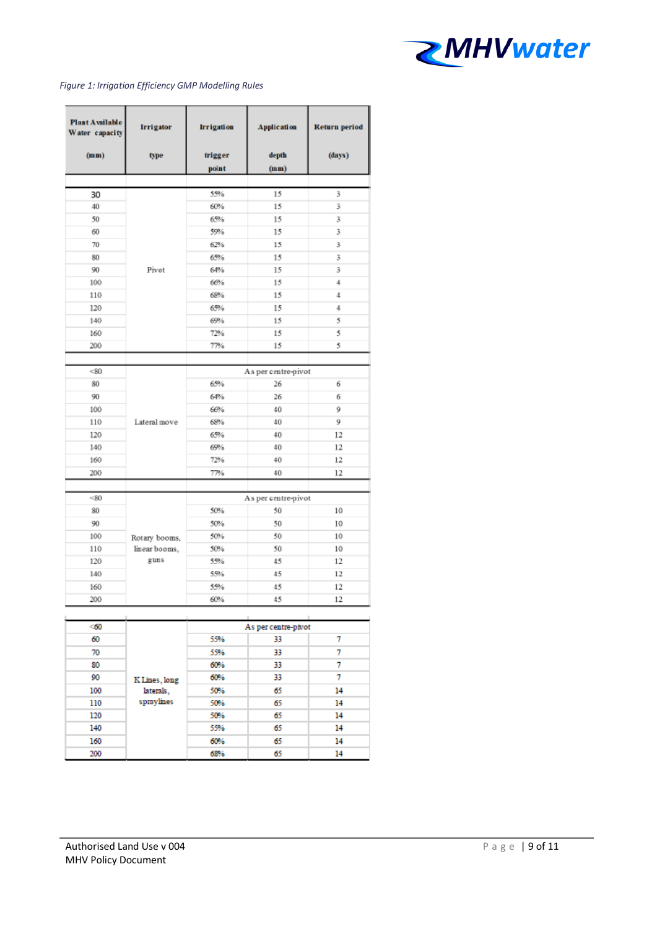

#### *Figure 1: Irrigation Efficiency GMP Modelling Rules*

| <b>Plant Available</b><br>Water capacity | <b>Irrigator</b> | <b>Irrigation</b> | <b>Application</b>  | <b>Return period</b> |
|------------------------------------------|------------------|-------------------|---------------------|----------------------|
|                                          |                  |                   |                     |                      |
| (mm)                                     | type             | trigger           | depth               | (days)               |
|                                          |                  | point             | (mm)                |                      |
|                                          |                  |                   |                     |                      |
| 30<br>40                                 |                  | 55%<br>60%        | 15                  | 3<br>3               |
|                                          |                  |                   | 15                  |                      |
| 50                                       |                  | 65%               | 15                  | 3                    |
| 60                                       |                  | 59%               | 15                  | 3                    |
| 70                                       |                  | 62%               | 15                  | 3                    |
| 80                                       |                  | 65%               | 15                  | 3                    |
| 90                                       | Pivot            | 64%               | 15                  | 3                    |
| 100                                      |                  | 66%               | 15                  | 4                    |
| 110                                      |                  | 68%               | 15                  | 4                    |
| 120                                      |                  | 65%               | 15                  | 4                    |
| 140                                      |                  | 69%               | 15                  | 5                    |
| 160                                      |                  | 72%               | 15                  | 5                    |
| 200                                      |                  | 77%               | 15                  | 5                    |
|                                          |                  |                   |                     |                      |
| <80                                      |                  |                   | As per centre-pivot |                      |
| 80                                       |                  | 65%               | 26                  | 6                    |
| 90                                       |                  | 64%               | 26                  | 6                    |
| 100                                      |                  | 66%               | 40                  | 9                    |
| 110                                      | Lateral move     | 68%               | 40                  | 9                    |
| 120                                      |                  | 65%               | 40                  | 12                   |
| 140                                      |                  | 69%               | 40                  | 12                   |
| 160                                      |                  | 72%               | 40                  | 12                   |
| 200                                      |                  | 77%               | 40                  | 12                   |
|                                          |                  |                   |                     |                      |
| < 80                                     |                  |                   | As per centre-pivot |                      |
| 80                                       |                  | 50%               | 50                  | 10                   |
| 90                                       |                  | 50%               | 50                  | 10                   |
| 100                                      | Rotary booms,    | 50%               | 50                  | 10                   |
| 110                                      | linear booms,    | 50%               | 50                  | 10                   |
| 120                                      | guns             | 55%               | 45                  | 12                   |
| 140                                      |                  | 55%               | 45                  | 12                   |
| 160                                      |                  | 55%               | 45                  | 12                   |
| 200                                      |                  | 60%               | 45                  | 12                   |
|                                          |                  |                   |                     |                      |
|                                          |                  |                   |                     |                      |
| < 60                                     |                  |                   | As per centre-pivot |                      |
| 60                                       |                  | 55%               | 33                  | 7                    |
| 70                                       |                  | 55%               | 33                  | 7                    |
| 80                                       |                  | 60%               | 33                  | 7                    |
| 90                                       | K Lines, long    | 60%               | 33                  | 7                    |
| 100                                      | laterals,        | 50%               | 65                  | 14                   |
| 110                                      | spraylines       | 50%               | 65                  | 14                   |
| 120                                      |                  | 50%               | 65                  | 14                   |
| 140                                      |                  | 55%               | 65                  | 14                   |
| 160                                      |                  | 60%               | 65                  | 14                   |
| 200                                      |                  | 68%               | 65                  | 14                   |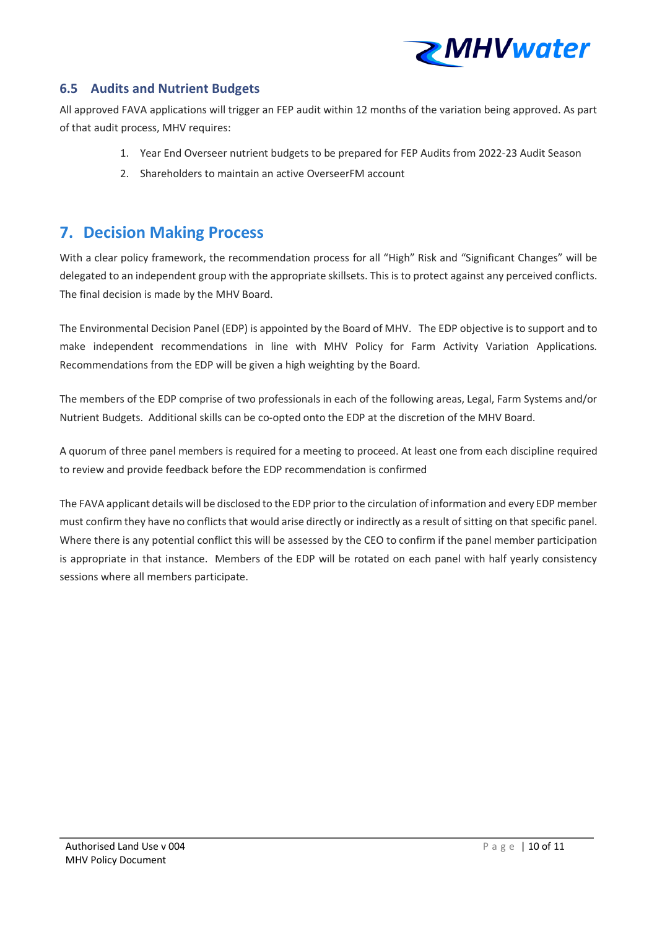

### **6.5 Audits and Nutrient Budgets**

All approved FAVA applications will trigger an FEP audit within 12 months of the variation being approved. As part of that audit process, MHV requires:

- 1. Year End Overseer nutrient budgets to be prepared for FEP Audits from 2022-23 Audit Season
- 2. Shareholders to maintain an active OverseerFM account

## **7. Decision Making Process**

With a clear policy framework, the recommendation process for all "High" Risk and "Significant Changes" will be delegated to an independent group with the appropriate skillsets. This is to protect against any perceived conflicts. The final decision is made by the MHV Board.

The Environmental Decision Panel (EDP) is appointed by the Board of MHV. The EDP objective is to support and to make independent recommendations in line with MHV Policy for Farm Activity Variation Applications. Recommendations from the EDP will be given a high weighting by the Board.

The members of the EDP comprise of two professionals in each of the following areas, Legal, Farm Systems and/or Nutrient Budgets. Additional skills can be co-opted onto the EDP at the discretion of the MHV Board.

A quorum of three panel members is required for a meeting to proceed. At least one from each discipline required to review and provide feedback before the EDP recommendation is confirmed

The FAVA applicant details will be disclosed to the EDP prior to the circulation of information and every EDP member must confirm they have no conflicts that would arise directly or indirectly as a result of sitting on that specific panel. Where there is any potential conflict this will be assessed by the CEO to confirm if the panel member participation is appropriate in that instance. Members of the EDP will be rotated on each panel with half yearly consistency sessions where all members participate.